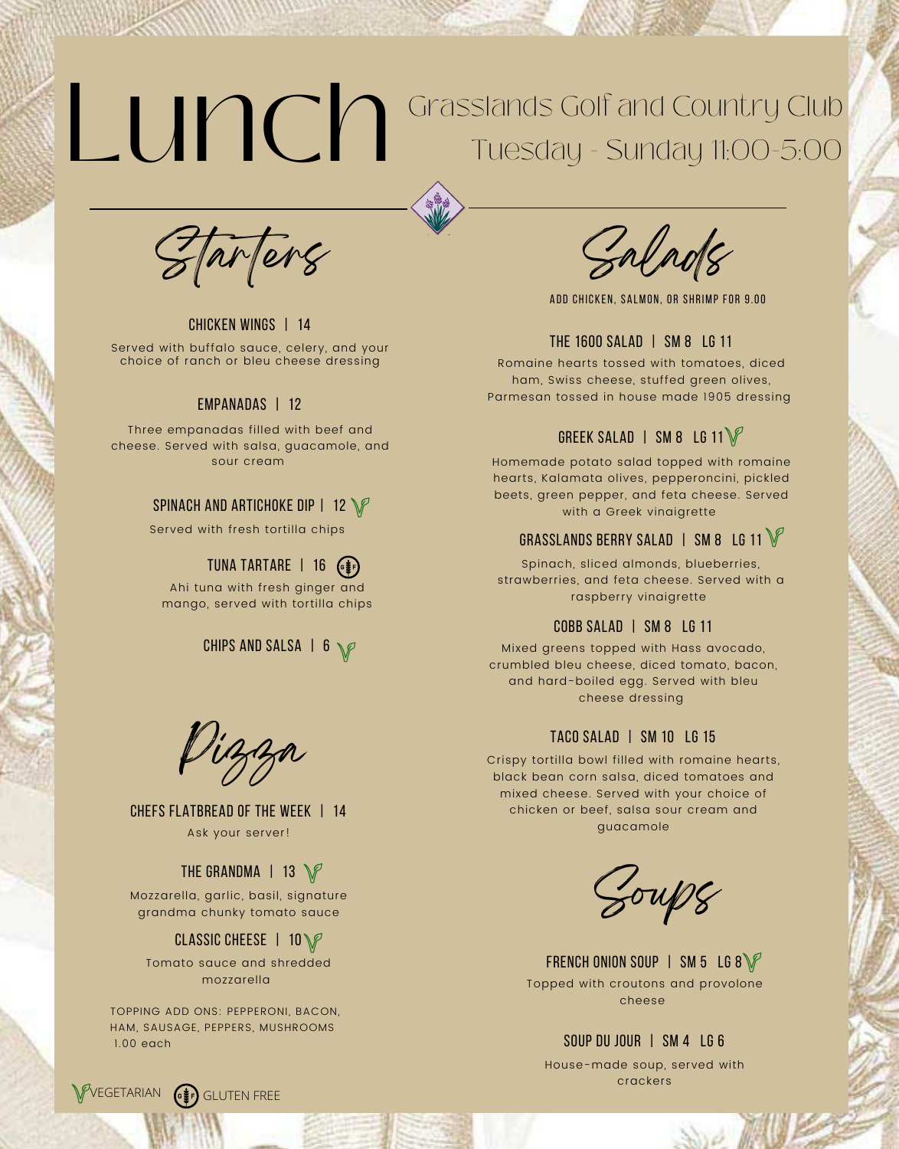# Lunch Grasslands Golf and Country Club Tuesday - Sunday 11:00-5:00

Tarters

Chicken Wings | 14 Served with buffalo sauce, celery, and your choice of ranch or bleu cheese dressing

#### Empanadas | 12

Three empanadas filled with beef and cheese. Served with salsa, guacamole, and sour cream

#### SPINACH AND ARTICHOKE DIP | 12  $\mathbb{V}$

Served with fresh tortilla chips

### TUNA TARTARE | 16 (\$)

Ahi tuna with fresh ginger and mango, served with tortilla chips

## CHIPS AND SALSA | 6  $\sqrt{p}$

Pizza

chefs flatbread of the week | 14 Ask your server!

## THE GRANDMA  $\parallel$  13  $\mathbb{V}$

Mozzarella, garlic, basil, signature grandma chunky tomato sauce

#### classic cheese | 10

Tomato sauce and shredded mozzarella

TOPPING ADD ONS: PEPPERONI, BACON, HAM, SAUSAGE, PEPPERS, MUSHROOMS 1.00 each

ADD CHICKEN, SALMON, OR SHRIMP FOR 9.00

#### the 1600 salad | Sm 8 lg 11

Romaine hearts tossed with tomatoes, diced ham, Swiss cheese, stuffed green olives, Parmesan tossed in house made 1905 dressing

### GREEK SALAD | SM 8 LG 11 $\mathbb{V}$

Homemade potato salad topped with romaine hearts, Kalamata olives, pepperoncini, pickled beets, green pepper, and feta cheese. Served with a Greek vinaigrette

## GRASSLANDS BERRY SALAD | SM 8 LG 11

Spinach, sliced almonds, blueberries, strawberries, and feta cheese. Served with a raspberry vinaigrette

#### cobb salad | Sm 8 lg 11

Mixed greens topped with Hass avocado, crumbled bleu cheese, diced tomato, bacon, and hard-boiled egg. Served with bleu cheese dressing

#### taco salad | sm 10 lg 15

Crispy tortilla bowl filled with romaine hearts, black bean corn salsa, diced tomatoes and mixed cheese. Served with your choice of chicken or beef, salsa sour cream and guacamole

Soups

FRENCH ONION SOUP | SM 5 LG 8 $\mathbb{V}$ Topped with croutons and provolone cheese

#### soup du jour | sm 4 lg 6

House-made soup, served with crackers

De MA

WEGETARIAN (